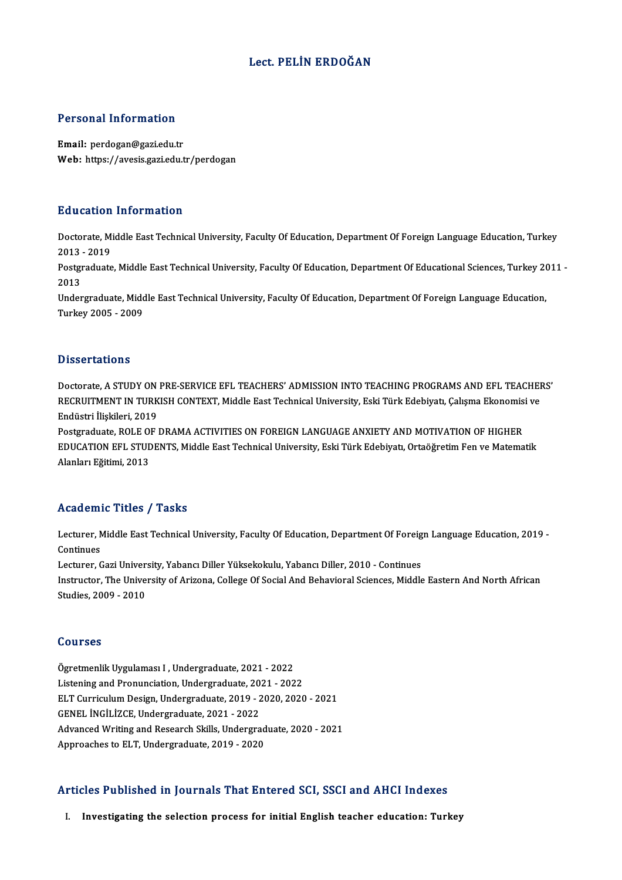### Lect. PELİN ERDOĞAN

#### Personal Information

Email: perdogan@gazi.edu.tr Web: https://avesis.gazi.edu.tr/perdogan

#### Education Information

**Education Information**<br>Doctorate, Middle East Technical University, Faculty Of Education, Department Of Foreign Language Education, Turkey<br>2013 - 2019 2013 -2019<br>2013 - 2019<br>Postaraduata Doctorate, Middle East Technical University, Faculty Of Education, Department Of Foreign Language Education, Turkey<br>2013 - 2019<br>Postgraduate, Middle East Technical University, Faculty Of Education, Department Of Educationa

2013<br>Postgi<br>2013<br>Under Postgraduate, Middle East Technical University, Faculty Of Education, Department Of Educational Sciences, Turkey 20<br>2013<br>Undergraduate, Middle East Technical University, Faculty Of Education, Department Of Foreign Language

2013<br>Undergraduate, Middle East Technical University, Faculty Of Education, Department Of Foreign Language Education,<br>Turkey 2005 - 2009

#### **Dissertations**

Dissertations<br>Doctorate, A STUDY ON PRE-SERVICE EFL TEACHERS' ADMISSION INTO TEACHING PROGRAMS AND EFL TEACHERS'<br>RECRUITMENT IN TURKISH CONTEXT, Middle Fost Technical University, Ecli Türk Edebiyat, Colame Ekonomisi ve B ISSOT CELISTS<br>Doctorate, A STUDY ON PRE-SERVICE EFL TEACHERS' ADMISSION INTO TEACHING PROGRAMS AND EFL TEACHEI<br>RECRUITMENT IN TURKISH CONTEXT, Middle East Technical University, Eski Türk Edebiyatı, Çalışma Ekonomisi ve Doctorate, A STUDY ON<br>RECRUITMENT IN TURK<br>Endüstri İlişkileri, 2019<br>Bostaradusta, BOLE OE l RECRUITMENT IN TURKISH CONTEXT, Middle East Technical University, Eski Türk Edebiyatı, Çalışma Ekonomisi ve<br>Endüstri İlişkileri, 2019<br>Postgraduate, ROLE OF DRAMA ACTIVITIES ON FOREIGN LANGUAGE ANXIETY AND MOTIVATION OF HIG

Endüstri İlişkileri, 2019<br>Postgraduate, ROLE OF DRAMA ACTIVITIES ON FOREIGN LANGUAGE ANXIETY AND MOTIVATION OF HIGHER<br>EDUCATION EFL STUDENTS, Middle East Technical University, Eski Türk Edebiyatı, Ortaöğretim Fen ve Matema Postgraduate, ROLE O!<br>EDUCATION EFL STUL<br>Alanları Eğitimi, 2013 Alanları Eğitimi, 2013<br>Academic Titles / Tasks

**Academic Titles / Tasks**<br>Lecturer, Middle East Technical University, Faculty Of Education, Department Of Foreign Language Education, 2019 -<br>Continues Lecturer, N<br>Continues<br>Lecturer Lecturer, Middle East Technical University, Faculty Of Education, Department Of Foreig<br>Continues<br>Lecturer, Gazi University, Yabancı Diller Yüksekokulu, Yabancı Diller, 2010 - Continues<br>Instructor, The University of Arizone

Continues<br>Lecturer, Gazi University, Yabancı Diller Yüksekokulu, Yabancı Diller, 2010 - Continues<br>Instructor, The University of Arizona, College Of Social And Behavioral Sciences, Middle Eastern And North African<br>Studies. Lecturer, Gazi Univer:<br>Instructor, The Unive:<br>Studies, 2009 - 2010

#### Courses

**Courses<br>Ögretmenlik Uygulaması I , Undergraduate, 2021 - 2022<br>Listening and Brenungiation, Undergraduate, 2021 - 202** Sources<br>Ögretmenlik Uygulaması I , Undergraduate, 2021 - 2022<br>Listening and Pronunciation, Undergraduate, 2021 - 2022<br>ELT Curriculum Design, Undergraduate, 2019, 2020, 2020 Listening and Pronunciation, Undergraduate, 2021 - 2022<br>ELT Curriculum Design, Undergraduate, 2019 - 2020, 2020 - 2021 Listening and Pronunciation, Undergraduate, 20<br>ELT Curriculum Design, Undergraduate, 2019 - 2<br>GENEL İNGİLİZCE, Undergraduate, 2021 - 2022<br>Advanced Writing and Bessareh Skills, Undergra Advanced Writing and Research Skills, Undergraduate, 2020 - 2021<br>Approaches to ELT, Undergraduate, 2019 - 2020 GENEL İNGİLİZCE, Undergraduate, 2021 - 2022<br>Advanced Writing and Research Skills, Undergrad<br>Approaches to ELT, Undergraduate, 2019 - 2020

#### Articles Published in Journals That Entered SCI, SSCI and AHCI Indexes

I. Investigating the selection process for initial English teacher education: Turkey